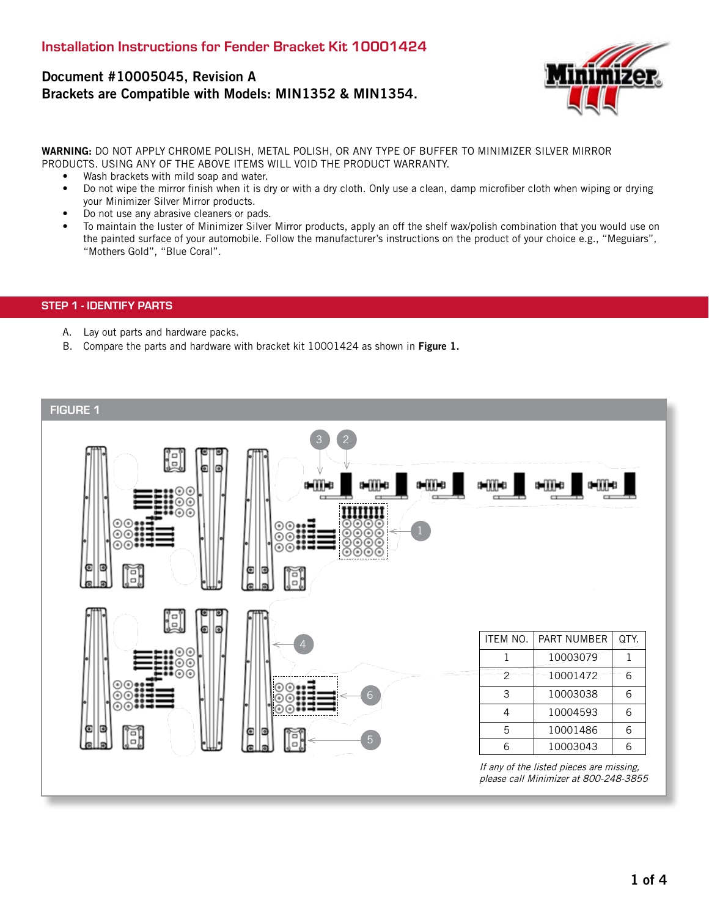# Document #10005045, Revision A Brackets are Compatible with Models: MIN1352 & MIN1354.



WARNING: DO NOT APPLY CHROME POLISH, METAL POLISH, OR ANY TYPE OF BUFFER TO MINIMIZER SILVER MIRROR PRODUCTS. USING ANY OF THE ABOVE ITEMS WILL VOID THE PRODUCT WARRANTY.

- Wash brackets with mild soap and water.
- Do not wipe the mirror finish when it is dry or with a dry cloth. Only use a clean, damp microfiber cloth when wiping or drying your Minimizer Silver Mirror products.
- Do not use any abrasive cleaners or pads.
- To maintain the luster of Minimizer Silver Mirror products, apply an off the shelf wax/polish combination that you would use on the painted surface of your automobile. Follow the manufacturer's instructions on the product of your choice e.g., "Meguiars", "Mothers Gold", "Blue Coral".

# STEP 1 - IDENTIFY PARTS

- A. Lay out parts and hardware packs.
- B. Compare the parts and hardware with bracket kit 10001424 as shown in Figure 1.

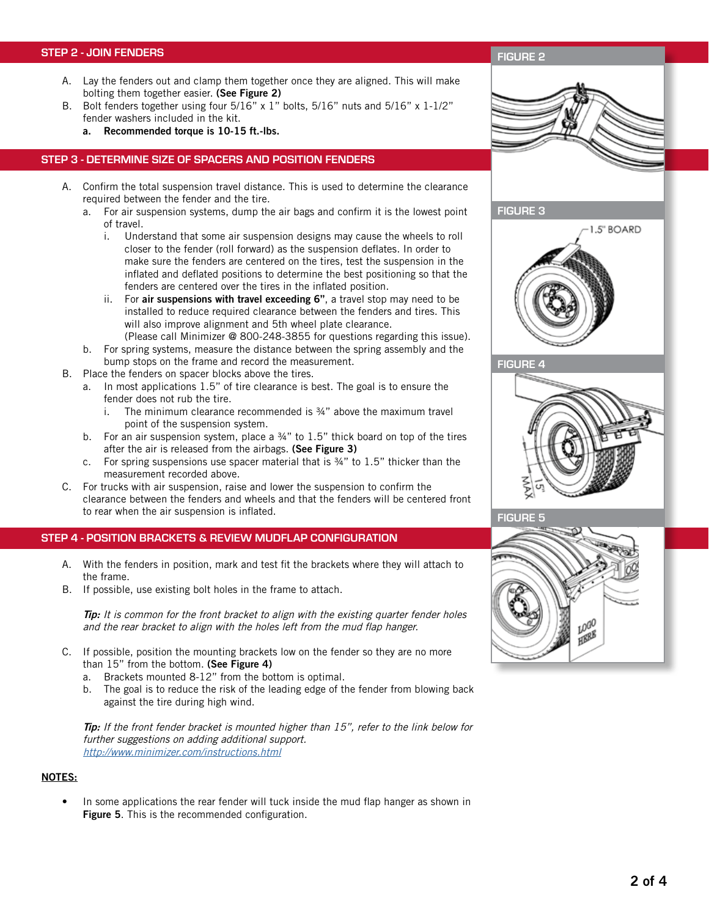#### STEP 2 - JOIN FENDERS

- A. Lay the fenders out and clamp them together once they are aligned. This will make bolting them together easier. (See Figure 2)
- B. Bolt fenders together using four 5/16" x 1" bolts, 5/16" nuts and 5/16" x 1-1/2" fender washers included in the kit.
	- a. Recommended torque is 10-15 ft.-lbs.

#### STEP 3 - DETERMINE SIZE OF SPACERS AND POSITION FENDERS

- A. Confirm the total suspension travel distance. This is used to determine the clearance required between the fender and the tire.
	- a. For air suspension systems, dump the air bags and confirm it is the lowest point of travel.
		- i. Understand that some air suspension designs may cause the wheels to roll closer to the fender (roll forward) as the suspension deflates. In order to make sure the fenders are centered on the tires, test the suspension in the inflated and deflated positions to determine the best positioning so that the fenders are centered over the tires in the inflated position.
		- ii. For air suspensions with travel exceeding 6", a travel stop may need to be installed to reduce required clearance between the fenders and tires. This will also improve alignment and 5th wheel plate clearance. (Please call Minimizer @ 800-248-3855 for questions regarding this issue).
	- b. For spring systems, measure the distance between the spring assembly and the bump stops on the frame and record the measurement.
- B. Place the fenders on spacer blocks above the tires.
	- a. In most applications 1.5" of tire clearance is best. The goal is to ensure the fender does not rub the tire.
		- i. The minimum clearance recommended is  $\frac{3}{4}$ " above the maximum travel point of the suspension system.
	- b. For an air suspension system, place a  $\frac{3}{4}$ " to 1.5" thick board on top of the tires after the air is released from the airbags. (See Figure 3)
	- c. For spring suspensions use spacer material that is  $\frac{3}{4}$ " to 1.5" thicker than the measurement recorded above.
- C. For trucks with air suspension, raise and lower the suspension to confirm the clearance between the fenders and wheels and that the fenders will be centered front to rear when the air suspension is inflated.

#### STEP 4 - POSITION BRACKETS & REVIEW MUDFLAP CONFIGURATION

- A. With the fenders in position, mark and test fit the brackets where they will attach to the frame.
- B. If possible, use existing bolt holes in the frame to attach.

 $\pi$ p: It is common for the front bracket to align with the existing quarter fender holes and the rear bracket to align with the holes left from the mud flap hanger.

- C. If possible, position the mounting brackets low on the fender so they are no more than 15" from the bottom. (See Figure 4)
	- a. Brackets mounted 8-12" from the bottom is optimal.
	- b. The goal is to reduce the risk of the leading edge of the fender from blowing back against the tire during high wind.

Tip: If the front fender bracket is mounted higher than 15", refer to the link below for further suggestions on adding additional support. http://www.minimizer.com/instructions.html

## NOTES:

In some applications the rear fender will tuck inside the mud flap hanger as shown in Figure 5. This is the recommended configuration.

#### FIGURE 2



FIGURE 3







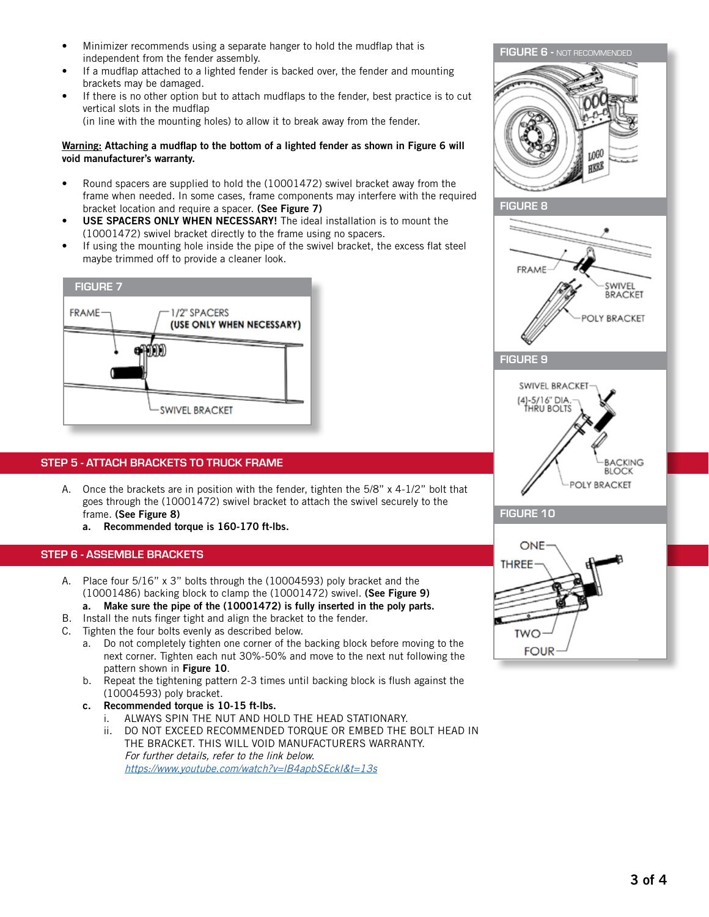- Minimizer recommends using a separate hanger to hold the mudflap that is independent from the fender assembly.
- If a mudflap attached to a lighted fender is backed over, the fender and mounting brackets may be damaged.
- If there is no other option but to attach mudflaps to the fender, best practice is to cut vertical slots in the mudflap

(in line with the mounting holes) to allow it to break away from the fender.

#### Warning: Attaching a mudflap to the bottom of a lighted fender as shown in Figure 6 will void manufacturer's warranty.

- Round spacers are supplied to hold the (10001472) swivel bracket away from the frame when needed. In some cases, frame components may interfere with the required bracket location and require a spacer. (See Figure 7)
- USE SPACERS ONLY WHEN NECESSARY! The ideal installation is to mount the (10001472) swivel bracket directly to the frame using no spacers.
- If using the mounting hole inside the pipe of the swivel bracket, the excess flat steel maybe trimmed off to provide a cleaner look.



# STEP 5 - ATTACH BRACKETS TO TRUCK FRAME

- A. Once the brackets are in position with the fender, tighten the 5/8" x 4-1/2" bolt that goes through the (10001472) swivel bracket to attach the swivel securely to the frame. (See Figure 8)
	- a. Recommended torque is 160-170 ft-lbs.

### STEP 6 - ASSEMBLE BRACKETS

- A. Place four 5/16" x 3" bolts through the (10004593) poly bracket and the (10001486) backing block to clamp the (10001472) swivel. (See Figure 9)
- a. Make sure the pipe of the (10001472) is fully inserted in the poly parts. B. Install the nuts finger tight and align the bracket to the fender.
- C. Tighten the four bolts evenly as described below.
	- a. Do not completely tighten one corner of the backing block before moving to the next corner. Tighten each nut 30%-50% and move to the next nut following the pattern shown in Figure 10.
	- b. Repeat the tightening pattern 2-3 times until backing block is flush against the (10004593) poly bracket.
	- c. Recommended torque is 10-15 ft-lbs.
		- i. ALWAYS SPIN THE NUT AND HOLD THE HEAD STATIONARY.
		- ii. DO NOT EXCEED RECOMMENDED TORQUE OR EMBED THE BOLT HEAD IN THE BRACKET. THIS WILL VOID MANUFACTURERS WARRANTY. For further details, refer to the link below. <https://www.youtube.com/watch?v=lB4apbSEckI&t=13s>